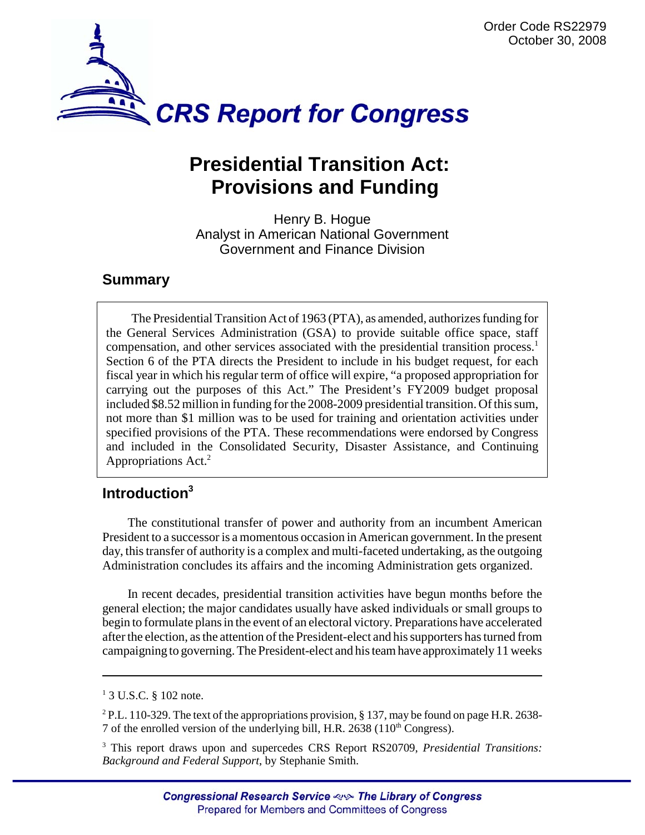

# **Presidential Transition Act: Provisions and Funding**

Henry B. Hogue Analyst in American National Government Government and Finance Division

## **Summary**

The Presidential Transition Act of 1963 (PTA), as amended, authorizes funding for the General Services Administration (GSA) to provide suitable office space, staff compensation, and other services associated with the presidential transition process.<sup>1</sup> Section 6 of the PTA directs the President to include in his budget request, for each fiscal year in which his regular term of office will expire, "a proposed appropriation for carrying out the purposes of this Act." The President's FY2009 budget proposal included \$8.52 million in funding for the 2008-2009 presidential transition. Of this sum, not more than \$1 million was to be used for training and orientation activities under specified provisions of the PTA. These recommendations were endorsed by Congress and included in the Consolidated Security, Disaster Assistance, and Continuing Appropriations Act.<sup>2</sup>

# **Introduction3**

The constitutional transfer of power and authority from an incumbent American President to a successor is a momentous occasion in American government. In the present day, this transfer of authority is a complex and multi-faceted undertaking, as the outgoing Administration concludes its affairs and the incoming Administration gets organized.

In recent decades, presidential transition activities have begun months before the general election; the major candidates usually have asked individuals or small groups to begin to formulate plans in the event of an electoral victory. Preparations have accelerated after the election, as the attention of the President-elect and his supporters has turned from campaigning to governing. The President-elect and his team have approximately 11 weeks

<sup>2</sup> P.L. 110-329. The text of the appropriations provision, § 137, may be found on page H.R. 2638-7 of the enrolled version of the underlying bill, H.R. 2638  $(110<sup>th</sup> Congress)$ .

3 This report draws upon and supercedes CRS Report RS20709, *Presidential Transitions: Background and Federal Support*, by Stephanie Smith.

<sup>&</sup>lt;sup>1</sup> 3 U.S.C. § 102 note.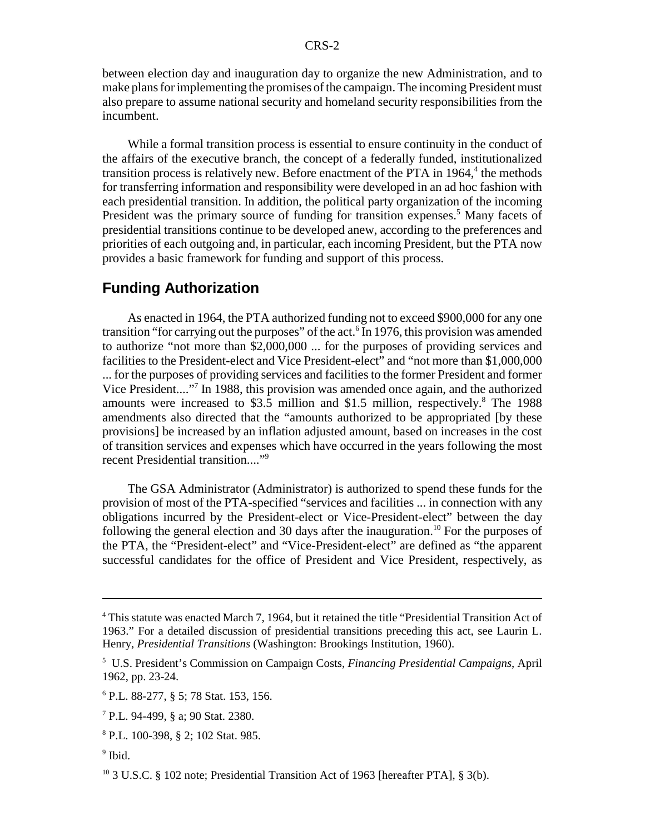between election day and inauguration day to organize the new Administration, and to make plans for implementing the promises of the campaign. The incoming President must also prepare to assume national security and homeland security responsibilities from the incumbent.

While a formal transition process is essential to ensure continuity in the conduct of the affairs of the executive branch, the concept of a federally funded, institutionalized transition process is relatively new. Before enactment of the PTA in 1964,<sup>4</sup> the methods for transferring information and responsibility were developed in an ad hoc fashion with each presidential transition. In addition, the political party organization of the incoming President was the primary source of funding for transition expenses.<sup>5</sup> Many facets of presidential transitions continue to be developed anew, according to the preferences and priorities of each outgoing and, in particular, each incoming President, but the PTA now provides a basic framework for funding and support of this process.

#### **Funding Authorization**

As enacted in 1964, the PTA authorized funding not to exceed \$900,000 for any one transition "for carrying out the purposes" of the act.<sup>6</sup> In 1976, this provision was amended to authorize "not more than \$2,000,000 ... for the purposes of providing services and facilities to the President-elect and Vice President-elect" and "not more than \$1,000,000 ... for the purposes of providing services and facilities to the former President and former Vice President...."7 In 1988, this provision was amended once again, and the authorized amounts were increased to \$3.5 million and \$1.5 million, respectively.<sup>8</sup> The 1988 amendments also directed that the "amounts authorized to be appropriated [by these provisions] be increased by an inflation adjusted amount, based on increases in the cost of transition services and expenses which have occurred in the years following the most recent Presidential transition...."<sup>9</sup>

The GSA Administrator (Administrator) is authorized to spend these funds for the provision of most of the PTA-specified "services and facilities ... in connection with any obligations incurred by the President-elect or Vice-President-elect" between the day following the general election and 30 days after the inauguration.<sup>10</sup> For the purposes of the PTA, the "President-elect" and "Vice-President-elect" are defined as "the apparent successful candidates for the office of President and Vice President, respectively, as

<sup>&</sup>lt;sup>4</sup> This statute was enacted March 7, 1964, but it retained the title "Presidential Transition Act of 1963." For a detailed discussion of presidential transitions preceding this act, see Laurin L. Henry, *Presidential Transitions* (Washington: Brookings Institution, 1960).

<sup>5</sup> U.S. President's Commission on Campaign Costs, *Financing Presidential Campaigns*, April 1962, pp. 23-24.

<sup>6</sup> P.L. 88-277, § 5; 78 Stat. 153, 156.

<sup>7</sup> P.L. 94-499, § a; 90 Stat. 2380.

<sup>8</sup> P.L. 100-398, § 2; 102 Stat. 985.

<sup>&</sup>lt;sup>9</sup> Ibid.

<sup>&</sup>lt;sup>10</sup> 3 U.S.C. § 102 note; Presidential Transition Act of 1963 [hereafter PTA], § 3(b).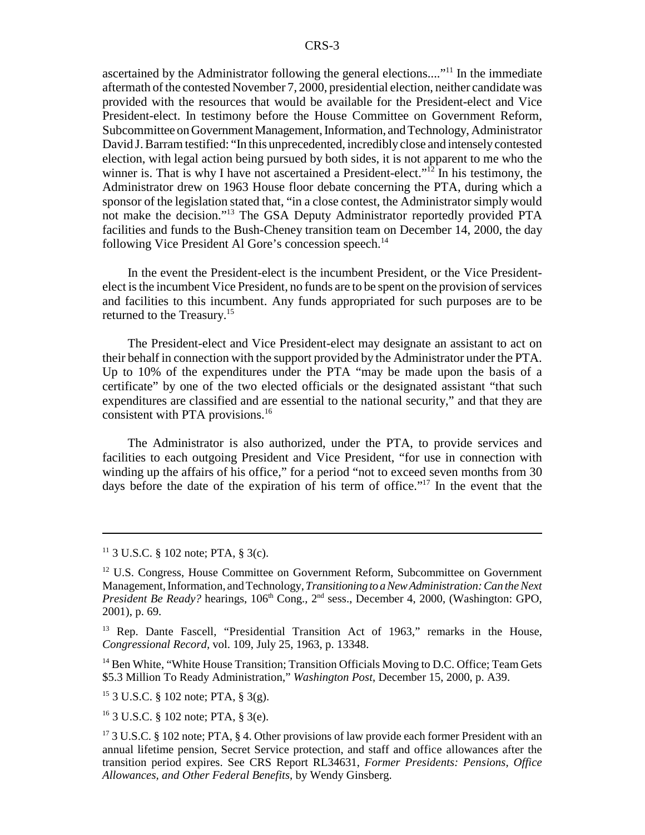ascertained by the Administrator following the general elections...."11 In the immediate aftermath of the contested November 7, 2000, presidential election, neither candidate was provided with the resources that would be available for the President-elect and Vice President-elect. In testimony before the House Committee on Government Reform, Subcommittee on Government Management, Information, and Technology, Administrator David J. Barram testified: "In this unprecedented, incredibly close and intensely contested election, with legal action being pursued by both sides, it is not apparent to me who the winner is. That is why I have not ascertained a President-elect."<sup>12</sup> In his testimony, the Administrator drew on 1963 House floor debate concerning the PTA, during which a sponsor of the legislation stated that, "in a close contest, the Administrator simply would not make the decision."13 The GSA Deputy Administrator reportedly provided PTA facilities and funds to the Bush-Cheney transition team on December 14, 2000, the day following Vice President Al Gore's concession speech.<sup>14</sup>

In the event the President-elect is the incumbent President, or the Vice Presidentelect is the incumbent Vice President, no funds are to be spent on the provision of services and facilities to this incumbent. Any funds appropriated for such purposes are to be returned to the Treasury.15

The President-elect and Vice President-elect may designate an assistant to act on their behalf in connection with the support provided by the Administrator under the PTA. Up to 10% of the expenditures under the PTA "may be made upon the basis of a certificate" by one of the two elected officials or the designated assistant "that such expenditures are classified and are essential to the national security," and that they are consistent with PTA provisions.<sup>16</sup>

The Administrator is also authorized, under the PTA, to provide services and facilities to each outgoing President and Vice President, "for use in connection with winding up the affairs of his office," for a period "not to exceed seven months from 30 days before the date of the expiration of his term of office."17 In the event that the

<sup>14</sup> Ben White, "White House Transition; Transition Officials Moving to D.C. Office; Team Gets \$5.3 Million To Ready Administration," *Washington Post*, December 15, 2000, p. A39.

 $15$  3 U.S.C. § 102 note; PTA, § 3(g).

16 3 U.S.C. § 102 note; PTA, § 3(e).

 $11$  3 U.S.C. § 102 note; PTA, § 3(c).

 $12$  U.S. Congress, House Committee on Government Reform, Subcommittee on Government Management, Information, and Technology, *Transitioning to a New Administration: Can the Next President Be Ready?* hearings, 106<sup>th</sup> Cong., 2<sup>nd</sup> sess., December 4, 2000, (Washington: GPO, 2001), p. 69.

<sup>&</sup>lt;sup>13</sup> Rep. Dante Fascell, "Presidential Transition Act of 1963," remarks in the House, *Congressional Record,* vol. 109, July 25, 1963, p. 13348.

<sup>&</sup>lt;sup>17</sup> 3 U.S.C. § 102 note; PTA, § 4. Other provisions of law provide each former President with an annual lifetime pension, Secret Service protection, and staff and office allowances after the transition period expires. See CRS Report RL34631, *Former Presidents: Pensions, Office Allowances, and Other Federal Benefits,* by Wendy Ginsberg.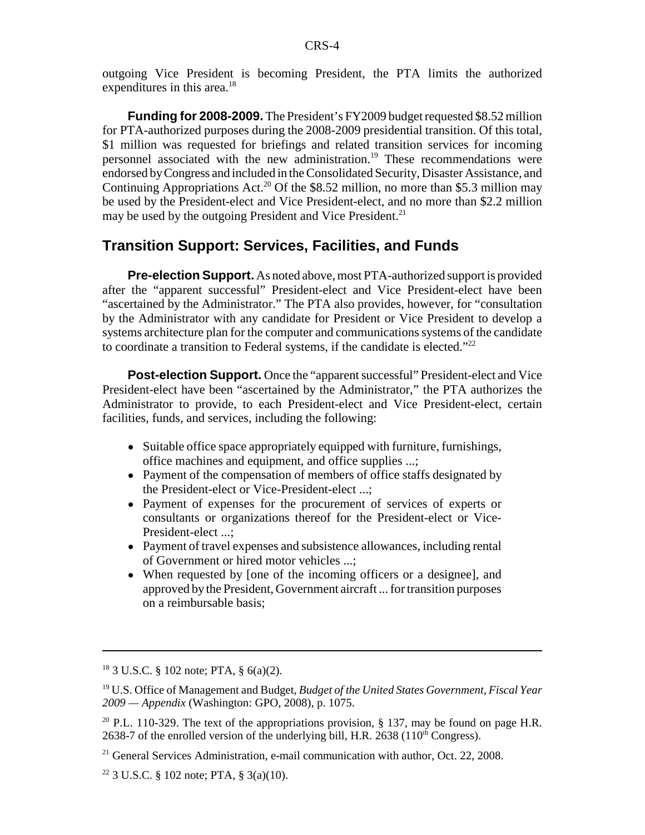outgoing Vice President is becoming President, the PTA limits the authorized expenditures in this area.<sup>18</sup>

**Funding for 2008-2009.** The President's FY2009 budget requested \$8.52 million for PTA-authorized purposes during the 2008-2009 presidential transition. Of this total, \$1 million was requested for briefings and related transition services for incoming personnel associated with the new administration.<sup>19</sup> These recommendations were endorsed by Congress and included in the Consolidated Security, Disaster Assistance, and Continuing Appropriations Act.<sup>20</sup> Of the \$8.52 million, no more than \$5.3 million may be used by the President-elect and Vice President-elect, and no more than \$2.2 million may be used by the outgoing President and Vice President.<sup>21</sup>

#### **Transition Support: Services, Facilities, and Funds**

**Pre-election Support.** As noted above, most PTA-authorized support is provided after the "apparent successful" President-elect and Vice President-elect have been "ascertained by the Administrator." The PTA also provides, however, for "consultation by the Administrator with any candidate for President or Vice President to develop a systems architecture plan for the computer and communications systems of the candidate to coordinate a transition to Federal systems, if the candidate is elected."<sup>22</sup>

**Post-election Support.** Once the "apparent successful" President-elect and Vice President-elect have been "ascertained by the Administrator," the PTA authorizes the Administrator to provide, to each President-elect and Vice President-elect, certain facilities, funds, and services, including the following:

- Suitable office space appropriately equipped with furniture, furnishings, office machines and equipment, and office supplies ...;
- Payment of the compensation of members of office staffs designated by the President-elect or Vice-President-elect ...;
- ! Payment of expenses for the procurement of services of experts or consultants or organizations thereof for the President-elect or Vice-President-elect ...;
- Payment of travel expenses and subsistence allowances, including rental of Government or hired motor vehicles ...;
- When requested by [one of the incoming officers or a designee], and approved by the President, Government aircraft ... for transition purposes on a reimbursable basis;

<sup>18 3</sup> U.S.C. § 102 note; PTA, § 6(a)(2).

<sup>19</sup> U.S. Office of Management and Budget, *Budget of the United States Government, Fiscal Year 2009 — Appendix* (Washington: GPO, 2008), p. 1075.

<sup>&</sup>lt;sup>20</sup> P.L. 110-329. The text of the appropriations provision, § 137, may be found on page H.R. 2638-7 of the enrolled version of the underlying bill, H.R. 2638 ( $110<sup>th</sup> Congress$ ).

 $21$  General Services Administration, e-mail communication with author, Oct. 22, 2008.

 $22$  3 U.S.C. § 102 note; PTA, § 3(a)(10).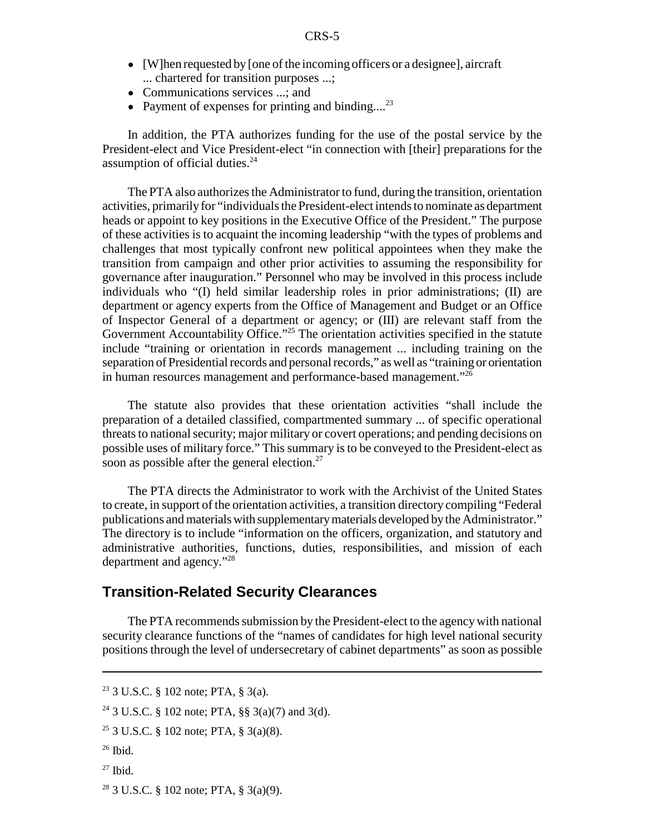- [W]hen requested by [one of the incoming officers or a designee], aircraft ... chartered for transition purposes ...;
- Communications services ...; and
- Payment of expenses for printing and binding....<sup>23</sup>

In addition, the PTA authorizes funding for the use of the postal service by the President-elect and Vice President-elect "in connection with [their] preparations for the assumption of official duties.<sup>24</sup>

The PTA also authorizes the Administrator to fund, during the transition, orientation activities, primarily for "individuals the President-elect intends to nominate as department heads or appoint to key positions in the Executive Office of the President." The purpose of these activities is to acquaint the incoming leadership "with the types of problems and challenges that most typically confront new political appointees when they make the transition from campaign and other prior activities to assuming the responsibility for governance after inauguration." Personnel who may be involved in this process include individuals who "(I) held similar leadership roles in prior administrations; (II) are department or agency experts from the Office of Management and Budget or an Office of Inspector General of a department or agency; or (III) are relevant staff from the Government Accountability Office."<sup>25</sup> The orientation activities specified in the statute include "training or orientation in records management ... including training on the separation of Presidential records and personal records," as well as "training or orientation in human resources management and performance-based management."26

The statute also provides that these orientation activities "shall include the preparation of a detailed classified, compartmented summary ... of specific operational threats to national security; major military or covert operations; and pending decisions on possible uses of military force." This summary is to be conveyed to the President-elect as soon as possible after the general election.<sup>27</sup>

The PTA directs the Administrator to work with the Archivist of the United States to create, in support of the orientation activities, a transition directory compiling "Federal publications and materials with supplementary materials developed by the Administrator." The directory is to include "information on the officers, organization, and statutory and administrative authorities, functions, duties, responsibilities, and mission of each department and agency."28

#### **Transition-Related Security Clearances**

The PTA recommends submission by the President-elect to the agency with national security clearance functions of the "names of candidates for high level national security positions through the level of undersecretary of cabinet departments" as soon as possible

- 25 3 U.S.C. § 102 note; PTA, § 3(a)(8).
- $26$  Ibid.
- $27$  Ibid.
- 28 3 U.S.C. § 102 note; PTA, § 3(a)(9).

<sup>23 3</sup> U.S.C. § 102 note; PTA, § 3(a).

<sup>24 3</sup> U.S.C. § 102 note; PTA, §§ 3(a)(7) and 3(d).